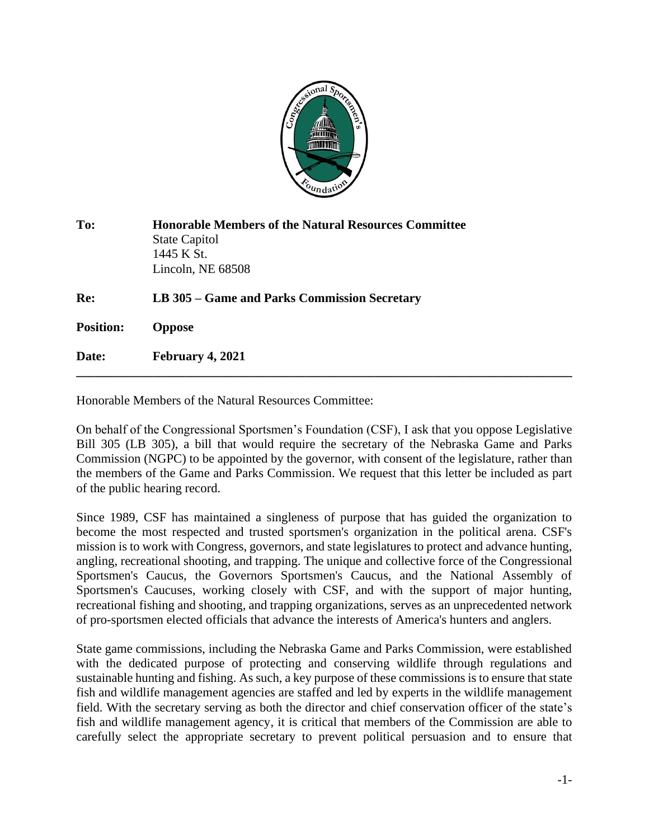

| To:              | <b>Honorable Members of the Natural Resources Committee</b><br><b>State Capitol</b><br>1445 K St.<br>Lincoln, NE 68508 |
|------------------|------------------------------------------------------------------------------------------------------------------------|
| Re:              | LB 305 – Game and Parks Commission Secretary                                                                           |
| <b>Position:</b> | <b>Oppose</b>                                                                                                          |
| Date:            | February 4, 2021                                                                                                       |

Honorable Members of the Natural Resources Committee:

On behalf of the Congressional Sportsmen's Foundation (CSF), I ask that you oppose Legislative Bill 305 (LB 305), a bill that would require the secretary of the Nebraska Game and Parks Commission (NGPC) to be appointed by the governor, with consent of the legislature, rather than the members of the Game and Parks Commission. We request that this letter be included as part of the public hearing record.

Since 1989, CSF has maintained a singleness of purpose that has guided the organization to become the most respected and trusted sportsmen's organization in the political arena. CSF's mission is to work with Congress, governors, and state legislatures to protect and advance hunting, angling, recreational shooting, and trapping. The unique and collective force of the Congressional Sportsmen's Caucus, the Governors Sportsmen's Caucus, and the National Assembly of Sportsmen's Caucuses, working closely with CSF, and with the support of major hunting, recreational fishing and shooting, and trapping organizations, serves as an unprecedented network of pro-sportsmen elected officials that advance the interests of America's hunters and anglers.

State game commissions, including the Nebraska Game and Parks Commission, were established with the dedicated purpose of protecting and conserving wildlife through regulations and sustainable hunting and fishing. As such, a key purpose of these commissions is to ensure that state fish and wildlife management agencies are staffed and led by experts in the wildlife management field. With the secretary serving as both the director and chief conservation officer of the state's fish and wildlife management agency, it is critical that members of the Commission are able to carefully select the appropriate secretary to prevent political persuasion and to ensure that